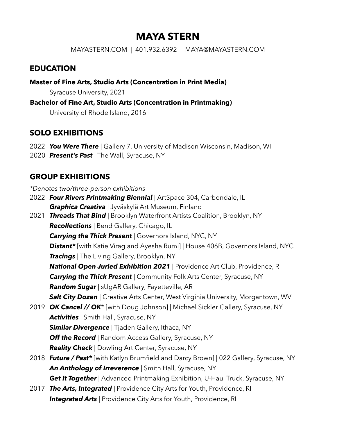# **MAYA STERN**

MAYASTERN.COM | 401.932.6392 | MAYA@MAYASTERN.COM

### **EDUCATION**

**Master of Fine Arts, Studio Arts (Concentration in Print Media)** 

Syracuse University, 2021

#### **Bachelor of Fine Art, Studio Arts (Concentration in Printmaking)**

University of Rhode Island, 2016

## **SOLO EXHIBITIONS**

- 2022 *You Were There* | Gallery 7, University of Madison Wisconsin, Madison, WI
- 2020 *Present's Past* | The Wall, Syracuse, NY

## **GROUP EXHIBITIONS**

*\*Denotes two/three-person exhibitions*

- 2022 *Four Rivers Printmaking Biennial* | ArtSpace 304, Carbondale, IL *Graphica Creativa* | Jyväskylä Art Museum, Finland
- 2021 *Threads That Bind* | Brooklyn Waterfront Artists Coalition, Brooklyn, NY *Recollections* | Bend Gallery, Chicago, IL **Carrying the Thick Present** | Governors Island, NYC, NY *Distant\** [with Katie Virag and Ayesha Rumi] | House 406B, Governors Island, NYC *Tracings* | The Living Gallery, Brooklyn, NY *National Open Juried Exhibition 2021* | Providence Art Club, Providence, RI *Carrying the Thick Present* | Community Folk Arts Center, Syracuse, NY *Random Sugar* | sUgAR Gallery, Fayetteville, AR **Salt City Dozen** | Creative Arts Center, West Virginia University, Morgantown, WV 2019 *OK Cancel // OK*\* [with Doug Johnson] | Michael Sickler Gallery, Syracuse, NY *Activities* | Smith Hall, Syracuse, NY
	- **Similar Divergence** | Tjaden Gallery, Ithaca, NY **Off the Record** | Random Access Gallery, Syracuse, NY *Reality Check* | Dowling Art Center, Syracuse, NY
- 2018 *Future / Past\** [with Katlyn Brumfield and Darcy Brown] | 022 Gallery, Syracuse, NY *An Anthology of Irreverence* | Smith Hall, Syracuse, NY **Get It Together** | Advanced Printmaking Exhibition, U-Haul Truck, Syracuse, NY
- 2017 *The Arts, Integrated* | Providence City Arts for Youth, Providence, RI **Integrated Arts** | Providence City Arts for Youth, Providence, RI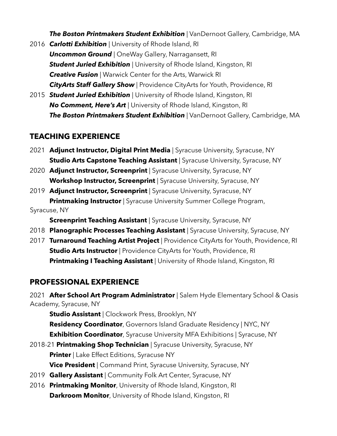*The Boston Printmakers Student Exhibition* | VanDernoot Gallery, Cambridge, MA

- 2016 *Carlotti Exhibition* | University of Rhode Island, RI *Uncommon Ground* | OneWay Gallery, Narragansett, RI **Student Juried Exhibition** | University of Rhode Island, Kingston, RI *Creative Fusion* | Warwick Center for the Arts, Warwick RI *CityArts Staff Gallery Show* | Providence CityArts for Youth, Providence, RI
- 2015 *Student Juried Exhibition* | University of Rhode Island, Kingston, RI *No Comment, Here's Art* | University of Rhode Island, Kingston, RI *The Boston Printmakers Student Exhibition* | VanDernoot Gallery, Cambridge, MA

### **TEACHING EXPERIENCE**

- 2021 **Adjunct Instructor, Digital Print Media** | Syracuse University, Syracuse, NY **Studio Arts Capstone Teaching Assistant** | Syracuse University, Syracuse, NY
- 2020 **Adjunct Instructor, Screenprint** | Syracuse University, Syracuse, NY **Workshop Instructor, Screenprint** | Syracuse University, Syracuse, NY
- 2019 **Adjunct Instructor, Screenprint** | Syracuse University, Syracuse, NY **Printmaking Instructor** | Syracuse University Summer College Program, Syracuse, NY

**Screenprint Teaching Assistant** | Syracuse University, Syracuse, NY

- 2018 **Planographic Processes Teaching Assistant** | Syracuse University, Syracuse, NY
- 2017 **Turnaround Teaching Artist Project** | Providence CityArts for Youth, Providence, RI **Studio Arts Instructor** | Providence CityArts for Youth, Providence, RI **Printmaking I Teaching Assistant** | University of Rhode Island, Kingston, RI

### **PROFESSIONAL EXPERIENCE**

2021 **After School Art Program Administrator** | Salem Hyde Elementary School & Oasis Academy, Syracuse, NY

**Studio Assistant** | Clockwork Press, Brooklyn, NY **Residency Coordinator**, Governors Island Graduate Residency | NYC, NY **Exhibition Coordinator**, Syracuse University MFA Exhibitions | Syracuse, NY

- 2018-21 **Printmaking Shop Technician** | Syracuse University, Syracuse, NY **Printer** | Lake Effect Editions, Syracuse NY **Vice President** | Command Print, Syracuse University, Syracuse, NY
- 2019 **Gallery Assistant** | Community Folk Art Center, Syracuse, NY
- 2016 **Printmaking Monitor**, University of Rhode Island, Kingston, RI **Darkroom Monitor**, University of Rhode Island, Kingston, RI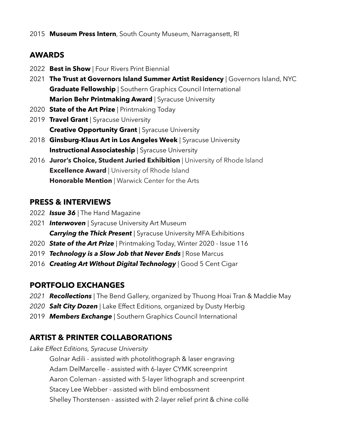## **AWARDS**

- 2022 **Best in Show** | Four Rivers Print Biennial
- 2021 **The Trust at Governors Island Summer Artist Residency** | Governors Island, NYC **Graduate Fellowship** | Southern Graphics Council International **Marion Behr Printmaking Award** | Syracuse University
- 2020 **State of the Art Prize** | Printmaking Today
- 2019 **Travel Grant** | Syracuse University **Creative Opportunity Grant** | Syracuse University
- 2018 **Ginsburg-Klaus Art in Los Angeles Week** | Syracuse University **Instructional Associateship** | Syracuse University
- 2016 **Juror's Choice, Student Juried Exhibition** | University of Rhode Island **Excellence Award** | University of Rhode Island **Honorable Mention** | Warwick Center for the Arts

## **PRESS & INTERVIEWS**

- 2022 *Issue 36* | The Hand Magazine
- 2021 *Interwoven* | Syracuse University Art Museum *Carrying the Thick Present* | Syracuse University MFA Exhibitions
- 2020 *State of the Art Prize* | Printmaking Today, Winter 2020 Issue 116
- 2019 *Technology is a Slow Job that Never Ends* | Rose Marcus
- 2016 **Creating Art Without Digital Technology** | Good 5 Cent Cigar

## **PORTFOLIO EXCHANGES**

- *2021 Recollections |* The Bend Gallery, organized by Thuong Hoai Tran & Maddie May
- 2020 **Salt City Dozen** | Lake Effect Editions, organized by Dusty Herbig
- 2019 *Members Exchange |* Southern Graphics Council International

## **ARTIST & PRINTER COLLABORATIONS**

*Lake Effect Editions, Syracuse University*

Golnar Adili - assisted with photolithograph & laser engraving Adam DelMarcelle - assisted with 6-layer CYMK screenprint Aaron Coleman - assisted with 5-layer lithograph and screenprint Stacey Lee Webber - assisted with blind embossment Shelley Thorstensen - assisted with 2-layer relief print & chine collé